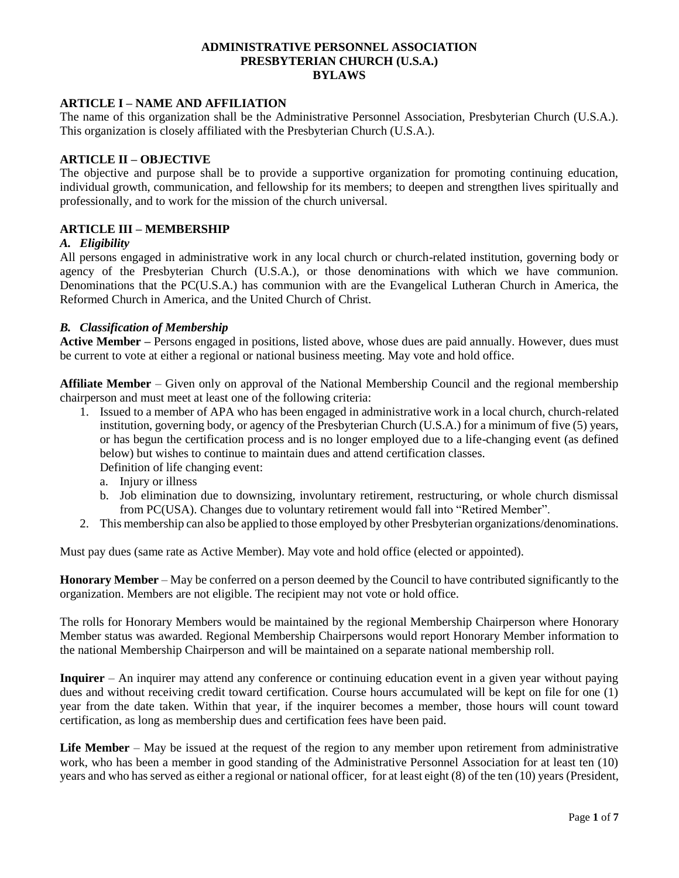#### **ADMINISTRATIVE PERSONNEL ASSOCIATION PRESBYTERIAN CHURCH (U.S.A.) BYLAWS**

#### **ARTICLE I – NAME AND AFFILIATION**

The name of this organization shall be the Administrative Personnel Association, Presbyterian Church (U.S.A.). This organization is closely affiliated with the Presbyterian Church (U.S.A.).

## **ARTICLE II – OBJECTIVE**

The objective and purpose shall be to provide a supportive organization for promoting continuing education, individual growth, communication, and fellowship for its members; to deepen and strengthen lives spiritually and professionally, and to work for the mission of the church universal.

#### **ARTICLE III – MEMBERSHIP**

#### *A. Eligibility*

All persons engaged in administrative work in any local church or church-related institution, governing body or agency of the Presbyterian Church (U.S.A.), or those denominations with which we have communion. Denominations that the PC(U.S.A.) has communion with are the Evangelical Lutheran Church in America, the Reformed Church in America, and the United Church of Christ.

#### *B. Classification of Membership*

**Active Member –** Persons engaged in positions, listed above, whose dues are paid annually. However, dues must be current to vote at either a regional or national business meeting. May vote and hold office.

**Affiliate Member** – Given only on approval of the National Membership Council and the regional membership chairperson and must meet at least one of the following criteria:

- 1. Issued to a member of APA who has been engaged in administrative work in a local church, church-related institution, governing body, or agency of the Presbyterian Church (U.S.A.) for a minimum of five (5) years, or has begun the certification process and is no longer employed due to a life-changing event (as defined below) but wishes to continue to maintain dues and attend certification classes. Definition of life changing event:
	- a. Injury or illness
	- b. Job elimination due to downsizing, involuntary retirement, restructuring, or whole church dismissal from PC(USA). Changes due to voluntary retirement would fall into "Retired Member".
- 2. This membership can also be applied to those employed by other Presbyterian organizations/denominations.

Must pay dues (same rate as Active Member). May vote and hold office (elected or appointed).

**Honorary Member** – May be conferred on a person deemed by the Council to have contributed significantly to the organization. Members are not eligible. The recipient may not vote or hold office.

The rolls for Honorary Members would be maintained by the regional Membership Chairperson where Honorary Member status was awarded. Regional Membership Chairpersons would report Honorary Member information to the national Membership Chairperson and will be maintained on a separate national membership roll.

**Inquirer** – An inquirer may attend any conference or continuing education event in a given year without paying dues and without receiving credit toward certification. Course hours accumulated will be kept on file for one (1) year from the date taken. Within that year, if the inquirer becomes a member, those hours will count toward certification, as long as membership dues and certification fees have been paid.

**Life Member** – May be issued at the request of the region to any member upon retirement from administrative work, who has been a member in good standing of the Administrative Personnel Association for at least ten (10) years and who has served as either a regional or national officer, for at least eight (8) of the ten (10) years (President,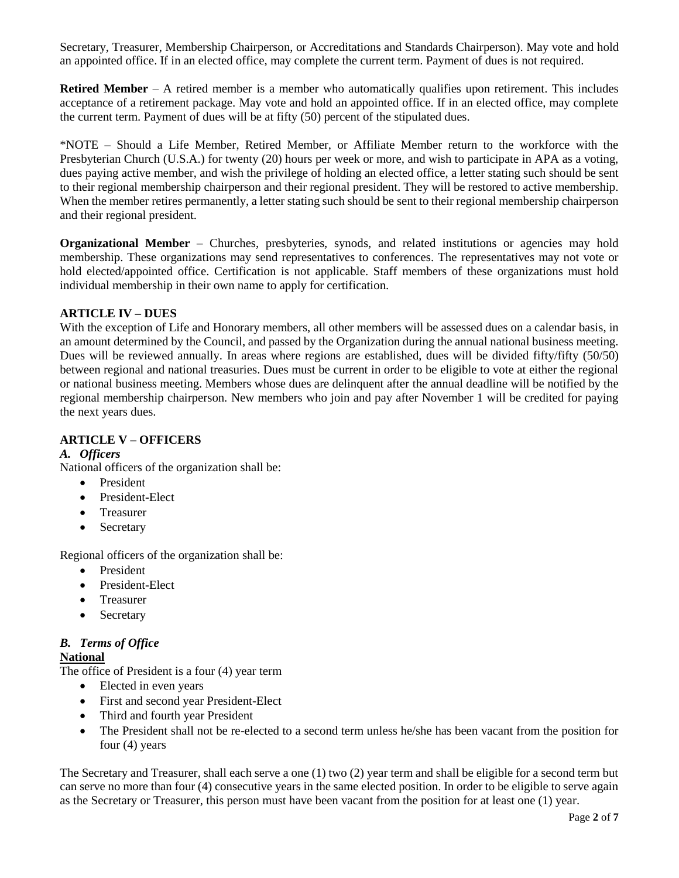Secretary, Treasurer, Membership Chairperson, or Accreditations and Standards Chairperson). May vote and hold an appointed office. If in an elected office, may complete the current term. Payment of dues is not required.

**Retired Member** – A retired member is a member who automatically qualifies upon retirement. This includes acceptance of a retirement package. May vote and hold an appointed office. If in an elected office, may complete the current term. Payment of dues will be at fifty (50) percent of the stipulated dues.

\*NOTE – Should a Life Member, Retired Member, or Affiliate Member return to the workforce with the Presbyterian Church (U.S.A.) for twenty (20) hours per week or more, and wish to participate in APA as a voting, dues paying active member, and wish the privilege of holding an elected office, a letter stating such should be sent to their regional membership chairperson and their regional president. They will be restored to active membership. When the member retires permanently, a letter stating such should be sent to their regional membership chairperson and their regional president.

**Organizational Member** – Churches, presbyteries, synods, and related institutions or agencies may hold membership. These organizations may send representatives to conferences. The representatives may not vote or hold elected/appointed office. Certification is not applicable. Staff members of these organizations must hold individual membership in their own name to apply for certification.

## **ARTICLE IV – DUES**

With the exception of Life and Honorary members, all other members will be assessed dues on a calendar basis, in an amount determined by the Council, and passed by the Organization during the annual national business meeting. Dues will be reviewed annually. In areas where regions are established, dues will be divided fifty/fifty (50/50) between regional and national treasuries. Dues must be current in order to be eligible to vote at either the regional or national business meeting. Members whose dues are delinquent after the annual deadline will be notified by the regional membership chairperson. New members who join and pay after November 1 will be credited for paying the next years dues.

#### **ARTICLE V – OFFICERS**

#### *A. Officers*

National officers of the organization shall be:

- President
- President-Elect
- Treasurer
- Secretary

Regional officers of the organization shall be:

- President
- President-Elect
- Treasurer
- Secretary

# *B. Terms of Office*

#### **National**

The office of President is a four (4) year term

- Elected in even years
- First and second year President-Elect
- Third and fourth year President
- The President shall not be re-elected to a second term unless he/she has been vacant from the position for four (4) years

The Secretary and Treasurer, shall each serve a one (1) two (2) year term and shall be eligible for a second term but can serve no more than four (4) consecutive years in the same elected position. In order to be eligible to serve again as the Secretary or Treasurer, this person must have been vacant from the position for at least one (1) year.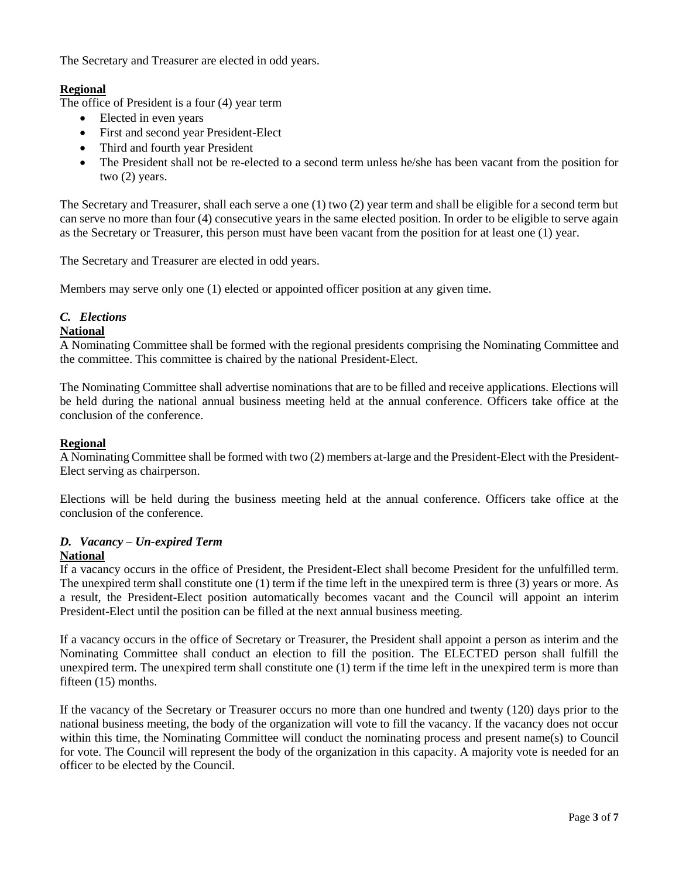The Secretary and Treasurer are elected in odd years.

# **Regional**

The office of President is a four (4) year term

- Elected in even years
- First and second year President-Elect
- Third and fourth year President
- The President shall not be re-elected to a second term unless he/she has been vacant from the position for two (2) years.

The Secretary and Treasurer, shall each serve a one (1) two (2) year term and shall be eligible for a second term but can serve no more than four (4) consecutive years in the same elected position. In order to be eligible to serve again as the Secretary or Treasurer, this person must have been vacant from the position for at least one (1) year.

The Secretary and Treasurer are elected in odd years.

Members may serve only one (1) elected or appointed officer position at any given time.

# *C. Elections*

#### **National**

A Nominating Committee shall be formed with the regional presidents comprising the Nominating Committee and the committee. This committee is chaired by the national President-Elect.

The Nominating Committee shall advertise nominations that are to be filled and receive applications. Elections will be held during the national annual business meeting held at the annual conference. Officers take office at the conclusion of the conference.

#### **Regional**

A Nominating Committee shall be formed with two (2) members at-large and the President-Elect with the President-Elect serving as chairperson.

Elections will be held during the business meeting held at the annual conference. Officers take office at the conclusion of the conference.

#### *D. Vacancy – Un-expired Term* **National**

## If a vacancy occurs in the office of President, the President-Elect shall become President for the unfulfilled term. The unexpired term shall constitute one (1) term if the time left in the unexpired term is three (3) years or more. As a result, the President-Elect position automatically becomes vacant and the Council will appoint an interim President-Elect until the position can be filled at the next annual business meeting.

If a vacancy occurs in the office of Secretary or Treasurer, the President shall appoint a person as interim and the Nominating Committee shall conduct an election to fill the position. The ELECTED person shall fulfill the unexpired term. The unexpired term shall constitute one (1) term if the time left in the unexpired term is more than fifteen (15) months.

If the vacancy of the Secretary or Treasurer occurs no more than one hundred and twenty (120) days prior to the national business meeting, the body of the organization will vote to fill the vacancy. If the vacancy does not occur within this time, the Nominating Committee will conduct the nominating process and present name(s) to Council for vote. The Council will represent the body of the organization in this capacity. A majority vote is needed for an officer to be elected by the Council.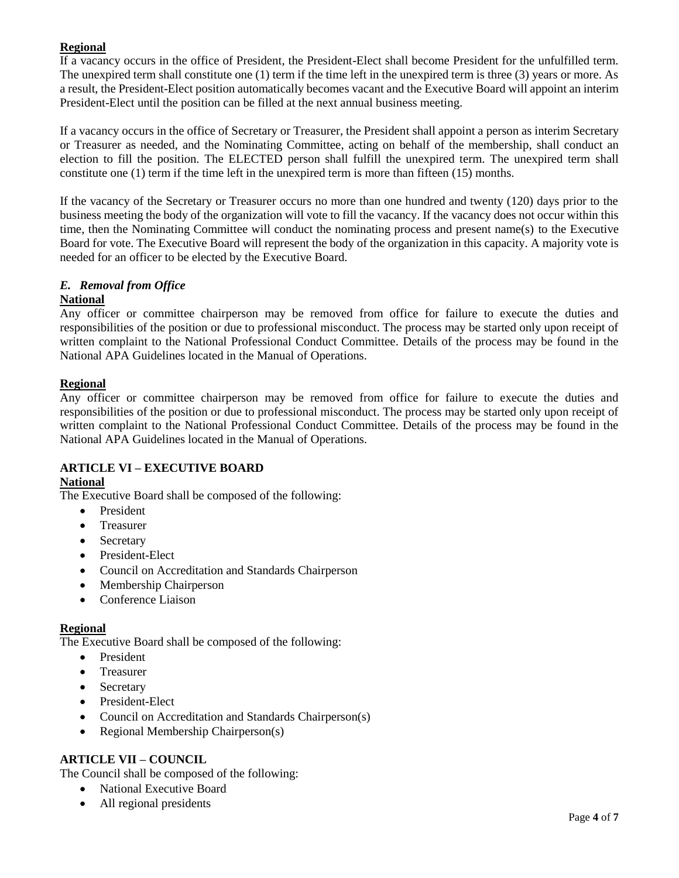# **Regional**

If a vacancy occurs in the office of President, the President-Elect shall become President for the unfulfilled term. The unexpired term shall constitute one (1) term if the time left in the unexpired term is three (3) years or more. As a result, the President-Elect position automatically becomes vacant and the Executive Board will appoint an interim President-Elect until the position can be filled at the next annual business meeting.

If a vacancy occurs in the office of Secretary or Treasurer, the President shall appoint a person as interim Secretary or Treasurer as needed, and the Nominating Committee, acting on behalf of the membership, shall conduct an election to fill the position. The ELECTED person shall fulfill the unexpired term. The unexpired term shall constitute one (1) term if the time left in the unexpired term is more than fifteen (15) months.

If the vacancy of the Secretary or Treasurer occurs no more than one hundred and twenty (120) days prior to the business meeting the body of the organization will vote to fill the vacancy. If the vacancy does not occur within this time, then the Nominating Committee will conduct the nominating process and present name(s) to the Executive Board for vote. The Executive Board will represent the body of the organization in this capacity. A majority vote is needed for an officer to be elected by the Executive Board.

# *E. Removal from Office*

## **National**

Any officer or committee chairperson may be removed from office for failure to execute the duties and responsibilities of the position or due to professional misconduct. The process may be started only upon receipt of written complaint to the National Professional Conduct Committee. Details of the process may be found in the National APA Guidelines located in the Manual of Operations.

# **Regional**

Any officer or committee chairperson may be removed from office for failure to execute the duties and responsibilities of the position or due to professional misconduct. The process may be started only upon receipt of written complaint to the National Professional Conduct Committee. Details of the process may be found in the National APA Guidelines located in the Manual of Operations.

## **ARTICLE VI – EXECUTIVE BOARD**

## **National**

The Executive Board shall be composed of the following:

- President
- Treasurer
- Secretary
- President-Elect
- Council on Accreditation and Standards Chairperson
- Membership Chairperson
- Conference Liaison

## **Regional**

The Executive Board shall be composed of the following:

- President
- Treasurer
- Secretary
- President-Elect
- Council on Accreditation and Standards Chairperson(s)
- Regional Membership Chairperson(s)

## **ARTICLE VII – COUNCIL**

The Council shall be composed of the following:

- National Executive Board
- All regional presidents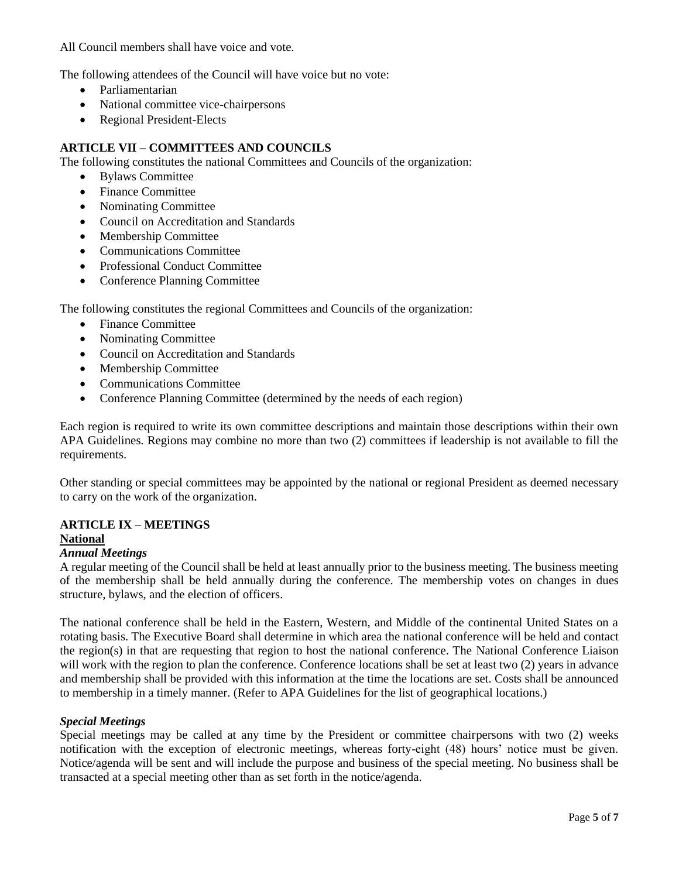All Council members shall have voice and vote.

The following attendees of the Council will have voice but no vote:

- Parliamentarian
- National committee vice-chairpersons
- Regional President-Elects

## **ARTICLE VII – COMMITTEES AND COUNCILS**

The following constitutes the national Committees and Councils of the organization:

- Bylaws Committee
- Finance Committee
- Nominating Committee
- Council on Accreditation and Standards
- Membership Committee
- Communications Committee
- Professional Conduct Committee
- Conference Planning Committee

The following constitutes the regional Committees and Councils of the organization:

- Finance Committee
- Nominating Committee
- Council on Accreditation and Standards
- Membership Committee
- Communications Committee
- Conference Planning Committee (determined by the needs of each region)

Each region is required to write its own committee descriptions and maintain those descriptions within their own APA Guidelines. Regions may combine no more than two (2) committees if leadership is not available to fill the requirements.

Other standing or special committees may be appointed by the national or regional President as deemed necessary to carry on the work of the organization.

#### **ARTICLE IX – MEETINGS National**

#### *Annual Meetings*

A regular meeting of the Council shall be held at least annually prior to the business meeting. The business meeting of the membership shall be held annually during the conference. The membership votes on changes in dues structure, bylaws, and the election of officers.

The national conference shall be held in the Eastern, Western, and Middle of the continental United States on a rotating basis. The Executive Board shall determine in which area the national conference will be held and contact the region(s) in that are requesting that region to host the national conference. The National Conference Liaison will work with the region to plan the conference. Conference locations shall be set at least two (2) years in advance and membership shall be provided with this information at the time the locations are set. Costs shall be announced to membership in a timely manner. (Refer to APA Guidelines for the list of geographical locations.)

#### *Special Meetings*

Special meetings may be called at any time by the President or committee chairpersons with two (2) weeks notification with the exception of electronic meetings, whereas forty-eight (48) hours' notice must be given. Notice/agenda will be sent and will include the purpose and business of the special meeting. No business shall be transacted at a special meeting other than as set forth in the notice/agenda.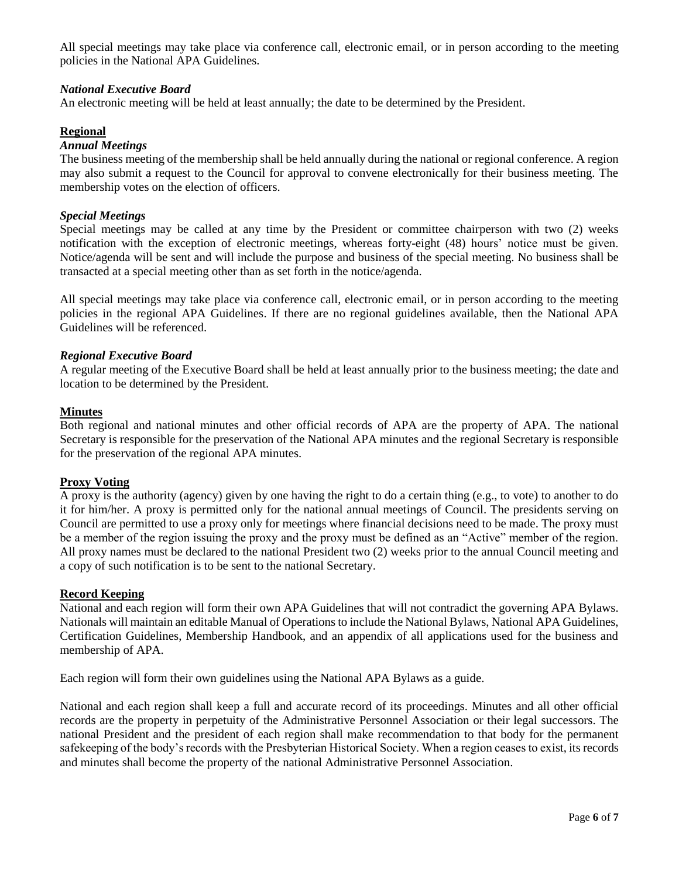All special meetings may take place via conference call, electronic email, or in person according to the meeting policies in the National APA Guidelines.

## *National Executive Board*

An electronic meeting will be held at least annually; the date to be determined by the President.

#### **Regional**

#### *Annual Meetings*

The business meeting of the membership shall be held annually during the national or regional conference. A region may also submit a request to the Council for approval to convene electronically for their business meeting. The membership votes on the election of officers.

#### *Special Meetings*

Special meetings may be called at any time by the President or committee chairperson with two (2) weeks notification with the exception of electronic meetings, whereas forty-eight (48) hours' notice must be given. Notice/agenda will be sent and will include the purpose and business of the special meeting. No business shall be transacted at a special meeting other than as set forth in the notice/agenda.

All special meetings may take place via conference call, electronic email, or in person according to the meeting policies in the regional APA Guidelines. If there are no regional guidelines available, then the National APA Guidelines will be referenced.

#### *Regional Executive Board*

A regular meeting of the Executive Board shall be held at least annually prior to the business meeting; the date and location to be determined by the President.

#### **Minutes**

Both regional and national minutes and other official records of APA are the property of APA. The national Secretary is responsible for the preservation of the National APA minutes and the regional Secretary is responsible for the preservation of the regional APA minutes.

#### **Proxy Voting**

A proxy is the authority (agency) given by one having the right to do a certain thing (e.g., to vote) to another to do it for him/her. A proxy is permitted only for the national annual meetings of Council. The presidents serving on Council are permitted to use a proxy only for meetings where financial decisions need to be made. The proxy must be a member of the region issuing the proxy and the proxy must be defined as an "Active" member of the region. All proxy names must be declared to the national President two (2) weeks prior to the annual Council meeting and a copy of such notification is to be sent to the national Secretary.

#### **Record Keeping**

National and each region will form their own APA Guidelines that will not contradict the governing APA Bylaws. Nationals will maintain an editable Manual of Operations to include the National Bylaws, National APA Guidelines, Certification Guidelines, Membership Handbook, and an appendix of all applications used for the business and membership of APA.

Each region will form their own guidelines using the National APA Bylaws as a guide.

National and each region shall keep a full and accurate record of its proceedings. Minutes and all other official records are the property in perpetuity of the Administrative Personnel Association or their legal successors. The national President and the president of each region shall make recommendation to that body for the permanent safekeeping of the body's records with the Presbyterian Historical Society. When a region ceases to exist, its records and minutes shall become the property of the national Administrative Personnel Association.